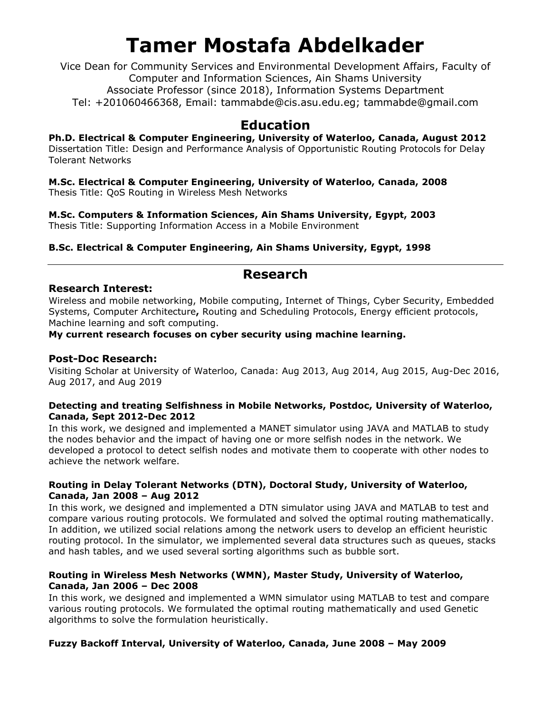Vice Dean for Community Services and Environmental Development Affairs, Faculty of Computer and Information Sciences, Ain Shams University Associate Professor (since 2018), Information Systems Department Tel: +201060466368, Email: tammabde@cis.asu.edu.eg; tammabde@gmail.com

### **Education**

**Ph.D. Electrical & Computer Engineering, University of Waterloo, Canada, August 2012** Dissertation Title: Design and Performance Analysis of Opportunistic Routing Protocols for Delay Tolerant Networks

**M.Sc. Electrical & Computer Engineering, University of Waterloo, Canada, 2008** Thesis Title: QoS Routing in Wireless Mesh Networks

**M.Sc. Computers & Information Sciences, Ain Shams University, Egypt, 2003** Thesis Title: Supporting Information Access in a Mobile Environment

**B.Sc. Electrical & Computer Engineering, Ain Shams University, Egypt, 1998**

### **Research**

#### **Research Interest:**

Wireless and mobile networking, Mobile computing, Internet of Things, Cyber Security, Embedded Systems, Computer Architecture**,** Routing and Scheduling Protocols, Energy efficient protocols, Machine learning and soft computing.

**My current research focuses on cyber security using machine learning.**

#### **Post-Doc Research:**

Visiting Scholar at University of Waterloo, Canada: Aug 2013, Aug 2014, Aug 2015, Aug-Dec 2016, Aug 2017, and Aug 2019

#### **Detecting and treating Selfishness in Mobile Networks, Postdoc, University of Waterloo, Canada, Sept 2012-Dec 2012**

In this work, we designed and implemented a MANET simulator using JAVA and MATLAB to study the nodes behavior and the impact of having one or more selfish nodes in the network. We developed a protocol to detect selfish nodes and motivate them to cooperate with other nodes to achieve the network welfare.

#### **Routing in Delay Tolerant Networks (DTN), Doctoral Study, University of Waterloo, Canada, Jan 2008 – Aug 2012**

In this work, we designed and implemented a DTN simulator using JAVA and MATLAB to test and compare various routing protocols. We formulated and solved the optimal routing mathematically. In addition, we utilized social relations among the network users to develop an efficient heuristic routing protocol. In the simulator, we implemented several data structures such as queues, stacks and hash tables, and we used several sorting algorithms such as bubble sort.

#### **Routing in Wireless Mesh Networks (WMN), Master Study, University of Waterloo, Canada, Jan 2006 – Dec 2008**

In this work, we designed and implemented a WMN simulator using MATLAB to test and compare various routing protocols. We formulated the optimal routing mathematically and used Genetic algorithms to solve the formulation heuristically.

#### **Fuzzy Backoff Interval, University of Waterloo, Canada, June 2008 – May 2009**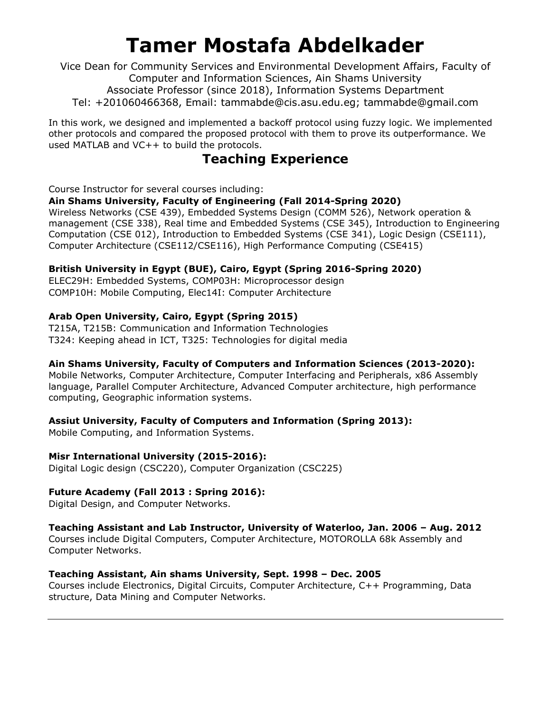Vice Dean for Community Services and Environmental Development Affairs, Faculty of Computer and Information Sciences, Ain Shams University Associate Professor (since 2018), Information Systems Department Tel: +201060466368, Email: tammabde@cis.asu.edu.eg; tammabde@gmail.com

In this work, we designed and implemented a backoff protocol using fuzzy logic. We implemented other protocols and compared the proposed protocol with them to prove its outperformance. We used MATLAB and VC++ to build the protocols.

## **Teaching Experience**

Course Instructor for several courses including:

#### **Ain Shams University, Faculty of Engineering (Fall 2014-Spring 2020)**

Wireless Networks (CSE 439), Embedded Systems Design (COMM 526), Network operation & management (CSE 338), Real time and Embedded Systems (CSE 345), Introduction to Engineering Computation (CSE 012), Introduction to Embedded Systems (CSE 341), Logic Design (CSE111), Computer Architecture (CSE112/CSE116), High Performance Computing (CSE415)

#### **British University in Egypt (BUE), Cairo, Egypt (Spring 2016-Spring 2020)**

ELEC29H: Embedded Systems, COMP03H: Microprocessor design COMP10H: Mobile Computing, Elec14I: Computer Architecture

#### **Arab Open University, Cairo, Egypt (Spring 2015)**

T215A, T215B: Communication and Information Technologies T324: Keeping ahead in ICT, T325: Technologies for digital media

#### **Ain Shams University, Faculty of Computers and Information Sciences (2013-2020):**

Mobile Networks, Computer Architecture, Computer Interfacing and Peripherals, x86 Assembly language, Parallel Computer Architecture, Advanced Computer architecture, high performance computing, Geographic information systems.

#### **Assiut University, Faculty of Computers and Information (Spring 2013):**

Mobile Computing, and Information Systems.

#### **Misr International University (2015-2016):**

Digital Logic design (CSC220), Computer Organization (CSC225)

#### **Future Academy (Fall 2013 : Spring 2016):**

Digital Design, and Computer Networks.

#### **Teaching Assistant and Lab Instructor, University of Waterloo, Jan. 2006 – Aug. 2012**

Courses include Digital Computers, Computer Architecture, MOTOROLLA 68k Assembly and Computer Networks.

#### **Teaching Assistant, Ain shams University, Sept. 1998 – Dec. 2005**

Courses include Electronics, Digital Circuits, Computer Architecture, C++ Programming, Data structure, Data Mining and Computer Networks.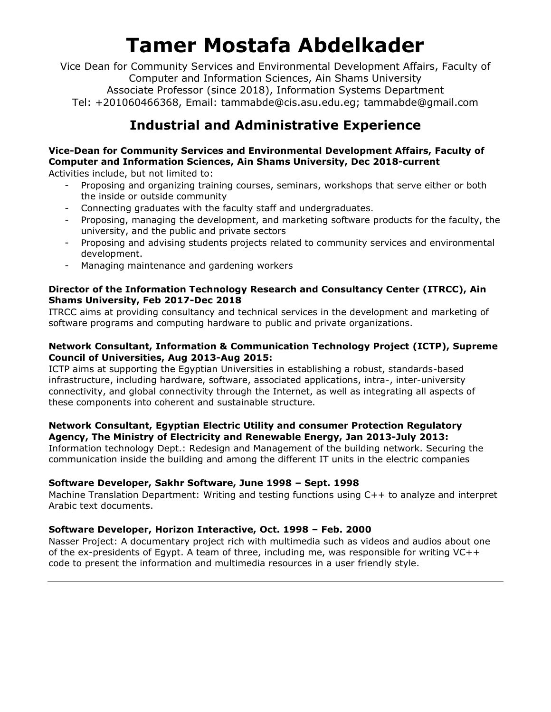Vice Dean for Community Services and Environmental Development Affairs, Faculty of Computer and Information Sciences, Ain Shams University Associate Professor (since 2018), Information Systems Department Tel: +201060466368, Email: tammabde@cis.asu.edu.eg; tammabde@gmail.com

## **Industrial and Administrative Experience**

### **Vice-Dean for Community Services and Environmental Development Affairs, Faculty of Computer and Information Sciences, Ain Shams University, Dec 2018-current**

Activities include, but not limited to:

- Proposing and organizing training courses, seminars, workshops that serve either or both the inside or outside community
- Connecting graduates with the faculty staff and undergraduates.
- Proposing, managing the development, and marketing software products for the faculty, the university, and the public and private sectors
- Proposing and advising students projects related to community services and environmental development.
- Managing maintenance and gardening workers

#### **Director of the Information Technology Research and Consultancy Center (ITRCC), Ain Shams University, Feb 2017-Dec 2018**

ITRCC aims at providing consultancy and technical services in the development and marketing of software programs and computing hardware to public and private organizations.

#### **Network Consultant, Information & Communication Technology Project (ICTP), Supreme Council of Universities, Aug 2013-Aug 2015:**

ICTP aims at supporting the Egyptian Universities in establishing a robust, standards-based infrastructure, including hardware, software, associated applications, intra-, inter-university connectivity, and global connectivity through the Internet, as well as integrating all aspects of these components into coherent and sustainable structure.

#### **Network Consultant, Egyptian Electric Utility and consumer Protection Regulatory Agency, The Ministry of Electricity and Renewable Energy, Jan 2013-July 2013:**

Information technology Dept.: Redesign and Management of the building network. Securing the communication inside the building and among the different IT units in the electric companies

#### **Software Developer, Sakhr Software, June 1998 – Sept. 1998**

Machine Translation Department: Writing and testing functions using C++ to analyze and interpret Arabic text documents.

#### **Software Developer, Horizon Interactive, Oct. 1998 – Feb. 2000**

Nasser Project: A documentary project rich with multimedia such as videos and audios about one of the ex-presidents of Egypt. A team of three, including me, was responsible for writing VC++ code to present the information and multimedia resources in a user friendly style.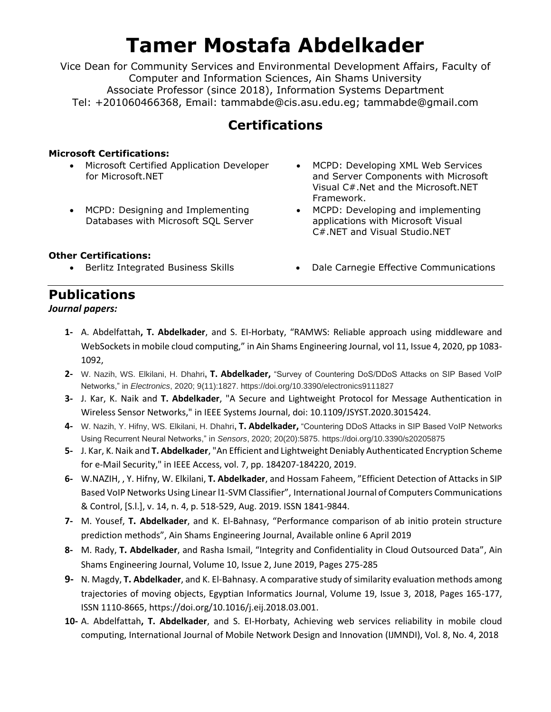Vice Dean for Community Services and Environmental Development Affairs, Faculty of Computer and Information Sciences, Ain Shams University Associate Professor (since 2018), Information Systems Department Tel: +201060466368, Email: tammabde@cis.asu.edu.eg; tammabde@gmail.com

## **Certifications**

#### **Microsoft Certifications:**

- Microsoft Certified Application Developer for Microsoft.NET
- MCPD: Designing and Implementing Databases with Microsoft SQL Server
- MCPD: Developing XML Web Services and Server Components with Microsoft Visual C#.Net and the Microsoft.NET Framework.
- MCPD: Developing and implementing applications with Microsoft Visual C#.NET and Visual Studio.NET

#### **Other Certifications:**

- 
- Berlitz Integrated Business Skills Dale Carnegie Effective Communications

### **Publications**

#### *Journal papers:*

- **1-** A. Abdelfattah**, T. Abdelkader**, and S. EI-Horbaty, "RAMWS: Reliable approach using middleware and WebSockets in mobile cloud computing," in Ain Shams Engineering Journal, vol 11, Issue 4, 2020, pp 1083- 1092,
- **2-** W. Nazih, WS. Elkilani, H. Dhahri**, T. Abdelkader,** "Survey of Countering DoS/DDoS Attacks on SIP Based VoIP Networks," in *Electronics*, 2020; 9(11):1827. https://doi.org/10.3390/electronics9111827
- **3-** J. Kar, K. Naik and **T. Abdelkader**, "A Secure and Lightweight Protocol for Message Authentication in Wireless Sensor Networks," in IEEE Systems Journal, doi: 10.1109/JSYST.2020.3015424.
- **4-** W. Nazih, Y. Hifny, WS. Elkilani, H. Dhahri**, T. Abdelkader,** "Countering DDoS Attacks in SIP Based VoIP Networks Using Recurrent Neural Networks," in *Sensors*, 2020; 20(20):5875. https://doi.org/10.3390/s20205875
- **5-** J. Kar, K. Naik and **T. Abdelkader**, "An Efficient and Lightweight Deniably Authenticated Encryption Scheme for e-Mail Security," in IEEE Access, vol. 7, pp. 184207-184220, 2019.
- **6-** W.NAZIH, , Y. Hifny, W. Elkilani, **T. Abdelkader**, and Hossam Faheem, "Efficient Detection of Attacks in SIP Based VoIP Networks Using Linear l1-SVM Classifier", International Journal of Computers Communications & Control, [S.l.], v. 14, n. 4, p. 518-529, Aug. 2019. ISSN 1841-9844.
- **7-** M. Yousef, **T. Abdelkader**, and K. El-Bahnasy, "Performance comparison of ab initio protein structure prediction methods", Ain Shams Engineering Journal, Available online 6 April 2019
- **8-** M. Rady, **T. Abdelkader**, and Rasha Ismail, "Integrity and Confidentiality in Cloud Outsourced Data", Ain Shams Engineering Journal, Volume 10, Issue 2, June 2019, Pages 275-285
- **9-** N. Magdy, **T. Abdelkader**, and K. El-Bahnasy. A comparative study of similarity evaluation methods among trajectories of moving objects, Egyptian Informatics Journal, Volume 19, Issue 3, 2018, Pages 165-177, ISSN 1110-8665, https://doi.org/10.1016/j.eij.2018.03.001.
- **10-** A. Abdelfattah**, T. Abdelkader**, and S. EI-Horbaty, Achieving web services reliability in mobile cloud computing, International Journal of Mobile Network Design and Innovation (IJMNDI), Vol. 8, No. 4, 2018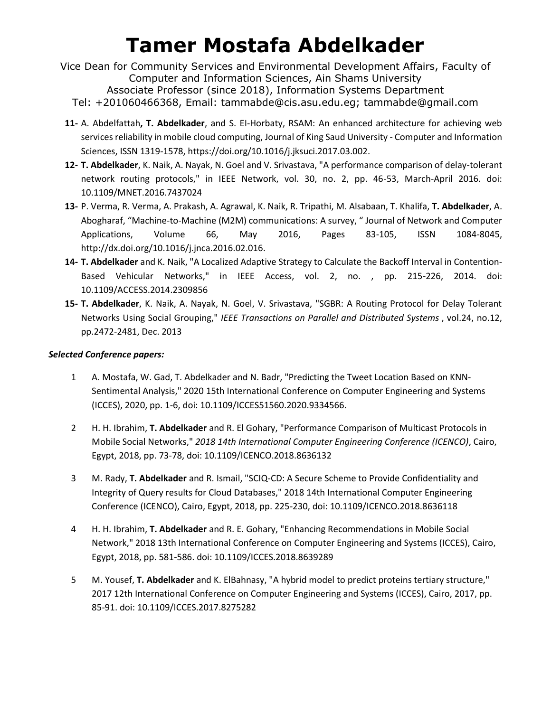- Vice Dean for Community Services and Environmental Development Affairs, Faculty of Computer and Information Sciences, Ain Shams University Associate Professor (since 2018), Information Systems Department
	- Tel: +201060466368, Email: tammabde@cis.asu.edu.eg; tammabde@gmail.com
- **11-** A. Abdelfattah**, T. Abdelkader**, and S. EI-Horbaty, RSAM: An enhanced architecture for achieving web services reliability in mobile cloud computing, Journal of King Saud University - Computer and Information Sciences, ISSN 1319-1578, https://doi.org/10.1016/j.jksuci.2017.03.002.
- **12- T. Abdelkader**, K. Naik, A. Nayak, N. Goel and V. Srivastava, "A performance comparison of delay-tolerant network routing protocols," in IEEE Network, vol. 30, no. 2, pp. 46-53, March-April 2016. doi: 10.1109/MNET.2016.7437024
- **13-** P. Verma, R. Verma, A. Prakash, A. Agrawal, K. Naik, R. Tripathi, M. Alsabaan, T. Khalifa, **T. Abdelkader**, A. Abogharaf, "Machine-to-Machine (M2M) communications: A survey, " Journal of Network and Computer Applications, Volume 66, May 2016, Pages 83-105, ISSN 1084-8045, http://dx.doi.org/10.1016/j.jnca.2016.02.016.
- **14- T. Abdelkader** and K. Naik, "A Localized Adaptive Strategy to Calculate the Backoff Interval in Contention-Based Vehicular Networks," in IEEE Access, vol. 2, no. , pp. 215-226, 2014. doi: 10.1109/ACCESS.2014.2309856
- **15- T. Abdelkader**, K. Naik, A. Nayak, N. Goel, V. Srivastava, "SGBR: A Routing Protocol for Delay Tolerant Networks Using Social Grouping," *IEEE Transactions on Parallel and Distributed Systems* , vol.24, no.12, pp.2472-2481, Dec. 2013

#### *Selected Conference papers:*

- 1 A. Mostafa, W. Gad, T. Abdelkader and N. Badr, "Predicting the Tweet Location Based on KNN-Sentimental Analysis," 2020 15th International Conference on Computer Engineering and Systems (ICCES), 2020, pp. 1-6, doi: 10.1109/ICCES51560.2020.9334566.
- 2 H. H. Ibrahim, **T. Abdelkader** and R. El Gohary, "Performance Comparison of Multicast Protocols in Mobile Social Networks," *2018 14th International Computer Engineering Conference (ICENCO)*, Cairo, Egypt, 2018, pp. 73-78, doi: 10.1109/ICENCO.2018.8636132
- 3 M. Rady, **T. Abdelkader** and R. Ismail, "SCIQ-CD: A Secure Scheme to Provide Confidentiality and Integrity of Query results for Cloud Databases," 2018 14th International Computer Engineering Conference (ICENCO), Cairo, Egypt, 2018, pp. 225-230, doi: 10.1109/ICENCO.2018.8636118
- 4 H. H. Ibrahim, **T. Abdelkader** and R. E. Gohary, "Enhancing Recommendations in Mobile Social Network," 2018 13th International Conference on Computer Engineering and Systems (ICCES), Cairo, Egypt, 2018, pp. 581-586. doi: 10.1109/ICCES.2018.8639289
- 5 M. Yousef, **T. Abdelkader** and K. ElBahnasy, "A hybrid model to predict proteins tertiary structure," 2017 12th International Conference on Computer Engineering and Systems (ICCES), Cairo, 2017, pp. 85-91. doi: 10.1109/ICCES.2017.8275282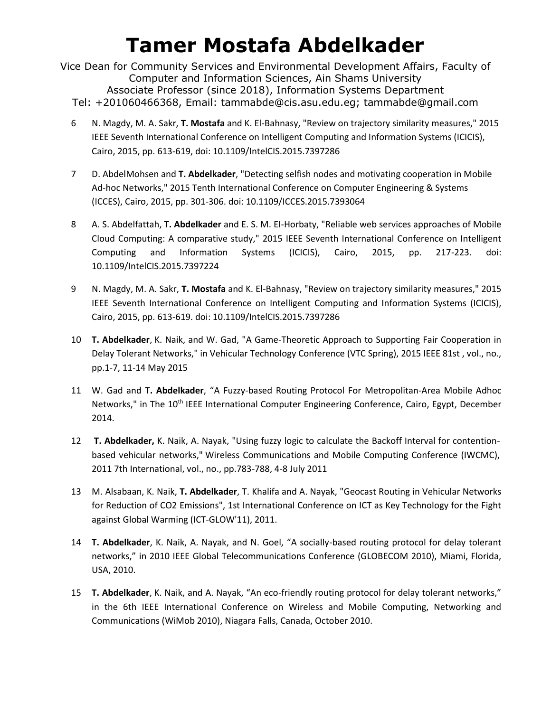Vice Dean for Community Services and Environmental Development Affairs, Faculty of Computer and Information Sciences, Ain Shams University Associate Professor (since 2018), Information Systems Department Tel: +201060466368, Email: tammabde@cis.asu.edu.eg; tammabde@gmail.com

- 6 N. Magdy, M. A. Sakr, **T. Mostafa** and K. El-Bahnasy, "Review on trajectory similarity measures," 2015 IEEE Seventh International Conference on Intelligent Computing and Information Systems (ICICIS), Cairo, 2015, pp. 613-619, doi: 10.1109/IntelCIS.2015.7397286
- 7 D. AbdelMohsen and **T. Abdelkader**, "Detecting selfish nodes and motivating cooperation in Mobile Ad-hoc Networks," 2015 Tenth International Conference on Computer Engineering & Systems (ICCES), Cairo, 2015, pp. 301-306. doi: 10.1109/ICCES.2015.7393064
- 8 A. S. Abdelfattah, **T. Abdelkader** and E. S. M. EI-Horbaty, "Reliable web services approaches of Mobile Cloud Computing: A comparative study," 2015 IEEE Seventh International Conference on Intelligent Computing and Information Systems (ICICIS), Cairo, 2015, pp. 217-223. doi: 10.1109/IntelCIS.2015.7397224
- 9 N. Magdy, M. A. Sakr, **T. Mostafa** and K. El-Bahnasy, "Review on trajectory similarity measures," 2015 IEEE Seventh International Conference on Intelligent Computing and Information Systems (ICICIS), Cairo, 2015, pp. 613-619. doi: 10.1109/IntelCIS.2015.7397286
- 10 **T. Abdelkader**, K. Naik, and W. Gad, "A Game-Theoretic Approach to Supporting Fair Cooperation in Delay Tolerant Networks," in Vehicular Technology Conference (VTC Spring), 2015 IEEE 81st , vol., no., pp.1-7, 11-14 May 2015
- 11 W. Gad and **T. Abdelkader**, "A Fuzzy-based Routing Protocol For Metropolitan-Area Mobile Adhoc Networks," in The 10<sup>th</sup> IEEE International Computer Engineering Conference, Cairo, Egypt, December 2014.
- 12 **T. Abdelkader,** K. Naik, A. Nayak, "Using fuzzy logic to calculate the Backoff Interval for contentionbased vehicular networks," Wireless Communications and Mobile Computing Conference (IWCMC), 2011 7th International, vol., no., pp.783-788, 4-8 July 2011
- 13 M. Alsabaan, K. Naik, **T. Abdelkader**, T. Khalifa and A. Nayak, "Geocast Routing in Vehicular Networks for Reduction of CO2 Emissions", 1st International Conference on ICT as Key Technology for the Fight against Global Warming (ICT-GLOW'11), 2011.
- 14 **T. Abdelkader**, K. Naik, A. Nayak, and N. Goel, "A socially-based routing protocol for delay tolerant networks," in 2010 IEEE Global Telecommunications Conference (GLOBECOM 2010), Miami, Florida, USA, 2010.
- 15 **T. Abdelkader**, K. Naik, and A. Nayak, "An eco-friendly routing protocol for delay tolerant networks," in the 6th IEEE International Conference on Wireless and Mobile Computing, Networking and Communications (WiMob 2010), Niagara Falls, Canada, October 2010.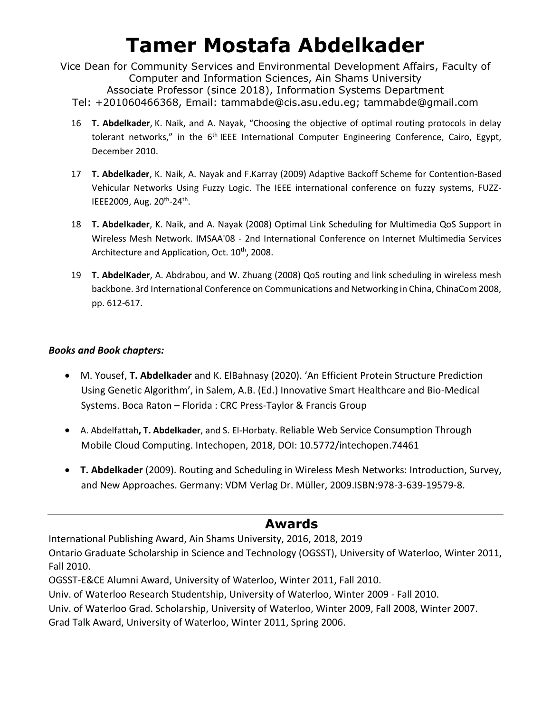Vice Dean for Community Services and Environmental Development Affairs, Faculty of Computer and Information Sciences, Ain Shams University Associate Professor (since 2018), Information Systems Department Tel: +201060466368, Email: tammabde@cis.asu.edu.eg; tammabde@gmail.com

- 16 **T. Abdelkader**, K. Naik, and A. Nayak, "Choosing the objective of optimal routing protocols in delay tolerant networks," in the 6<sup>th</sup> IEEE International Computer Engineering Conference, Cairo, Egypt, December 2010.
- 17 **T. Abdelkader**, K. Naik, A. Nayak and F.Karray (2009) Adaptive Backoff Scheme for Contention-Based Vehicular Networks Using Fuzzy Logic. The IEEE international conference on fuzzy systems, FUZZ-IEEE2009, Aug. 20<sup>th</sup>-24<sup>th</sup>.
- 18 **T. Abdelkader**, K. Naik, and A. Nayak (2008) Optimal Link Scheduling for Multimedia QoS Support in Wireless Mesh Network. IMSAA'08 - 2nd International Conference on Internet Multimedia Services Architecture and Application, Oct. 10<sup>th</sup>, 2008.
- 19 **T. AbdelKader**, A. Abdrabou, and W. Zhuang (2008) QoS routing and link scheduling in wireless mesh backbone. 3rd International Conference on Communications and Networking in China, ChinaCom 2008, pp. 612-617.

#### *Books and Book chapters:*

- M. Yousef, **T. Abdelkader** and K. ElBahnasy (2020). 'An Efficient Protein Structure Prediction Using Genetic Algorithm', in Salem, A.B. (Ed.) Innovative Smart Healthcare and Bio-Medical Systems. Boca Raton – Florida : CRC Press-Taylor & Francis Group
- A. Abdelfattah**, T. Abdelkader**, and S. EI-Horbaty. Reliable Web Service Consumption Through Mobile Cloud Computing. Intechopen, 2018, DOI: 10.5772/intechopen.74461
- **T. Abdelkader** (2009). Routing and Scheduling in Wireless Mesh Networks: Introduction, Survey, and New Approaches. Germany: VDM Verlag Dr. Müller, 2009.ISBN:978-3-639-19579-8.

### **Awards**

International Publishing Award, Ain Shams University, 2016, 2018, 2019 Ontario Graduate Scholarship in Science and Technology (OGSST), University of Waterloo, Winter 2011, Fall 2010.

OGSST-E&CE Alumni Award, University of Waterloo, Winter 2011, Fall 2010.

Univ. of Waterloo Research Studentship, University of Waterloo, Winter 2009 - Fall 2010.

Univ. of Waterloo Grad. Scholarship, University of Waterloo, Winter 2009, Fall 2008, Winter 2007.

Grad Talk Award, University of Waterloo, Winter 2011, Spring 2006.